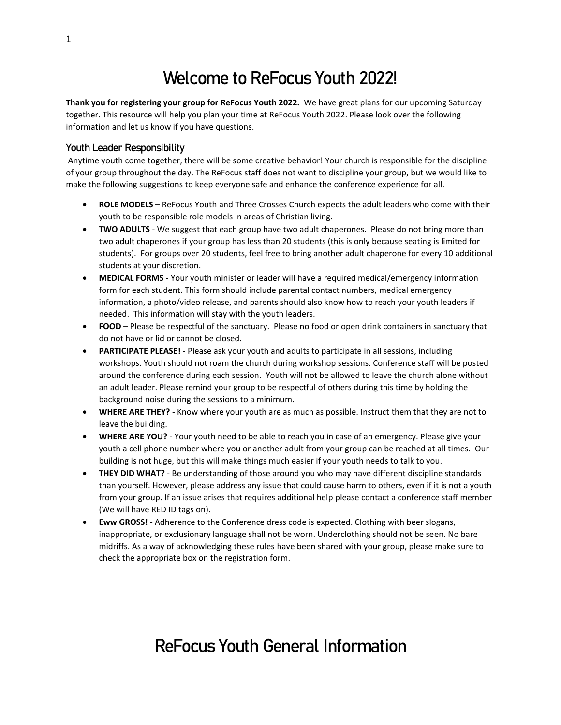## Welcome to ReFocus Youth 2022!

**Thank you for registering your group for ReFocus Youth 2022.** We have great plans for our upcoming Saturday together. This resource will help you plan your time at ReFocus Youth 2022. Please look over the following information and let us know if you have questions.

#### Youth Leader Responsibility

Anytime youth come together, there will be some creative behavior! Your church is responsible for the discipline of your group throughout the day. The ReFocus staff does not want to discipline your group, but we would like to make the following suggestions to keep everyone safe and enhance the conference experience for all.

- **ROLE MODELS** ReFocus Youth and Three Crosses Church expects the adult leaders who come with their youth to be responsible role models in areas of Christian living.
- **TWO ADULTS** We suggest that each group have two adult chaperones. Please do not bring more than two adult chaperones if your group has less than 20 students (this is only because seating is limited for students). For groups over 20 students, feel free to bring another adult chaperone for every 10 additional students at your discretion.
- **MEDICAL FORMS** Your youth minister or leader will have a required medical/emergency information form for each student. This form should include parental contact numbers, medical emergency information, a photo/video release, and parents should also know how to reach your youth leaders if needed. This information will stay with the youth leaders.
- **FOOD** Please be respectful of the sanctuary. Please no food or open drink containers in sanctuary that do not have or lid or cannot be closed.
- **PARTICIPATE PLEASE!** Please ask your youth and adults to participate in all sessions, including workshops. Youth should not roam the church during workshop sessions. Conference staff will be posted around the conference during each session. Youth will not be allowed to leave the church alone without an adult leader. Please remind your group to be respectful of others during this time by holding the background noise during the sessions to a minimum.
- **WHERE ARE THEY?** Know where your youth are as much as possible. Instruct them that they are not to leave the building.
- **WHERE ARE YOU?** Your youth need to be able to reach you in case of an emergency. Please give your youth a cell phone number where you or another adult from your group can be reached at all times. Our building is not huge, but this will make things much easier if your youth needs to talk to you.
- **THEY DID WHAT?** Be understanding of those around you who may have different discipline standards than yourself. However, please address any issue that could cause harm to others, even if it is not a youth from your group. If an issue arises that requires additional help please contact a conference staff member (We will have RED ID tags on).
- **Eww GROSS!** Adherence to the Conference dress code is expected. Clothing with beer slogans, inappropriate, or exclusionary language shall not be worn. Underclothing should not be seen. No bare midriffs. As a way of acknowledging these rules have been shared with your group, please make sure to check the appropriate box on the registration form.

### ReFocus Youth General Information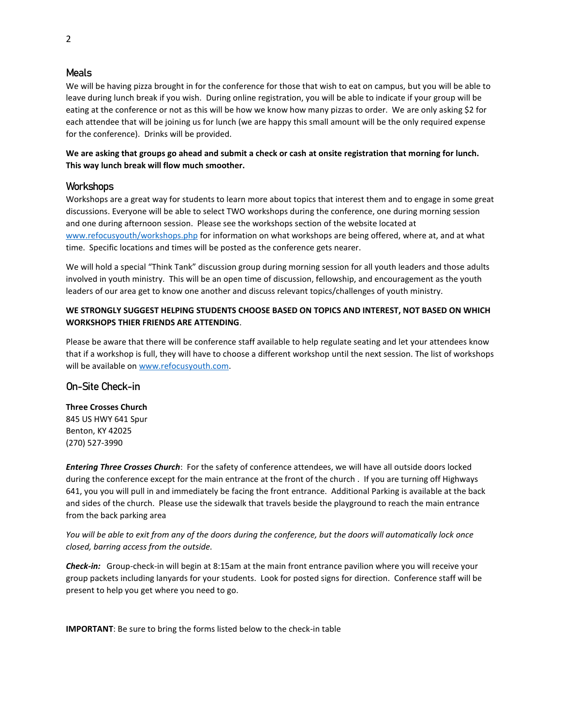#### Meals

We will be having pizza brought in for the conference for those that wish to eat on campus, but you will be able to leave during lunch break if you wish. During online registration, you will be able to indicate if your group will be eating at the conference or not as this will be how we know how many pizzas to order. We are only asking \$2 for each attendee that will be joining us for lunch (we are happy this small amount will be the only required expense for the conference). Drinks will be provided.

**We are asking that groups go ahead and submit a check or cash at onsite registration that morning for lunch. This way lunch break will flow much smoother.**

#### **Workshops**

Workshops are a great way for students to learn more about topics that interest them and to engage in some great discussions. Everyone will be able to select TWO workshops during the conference, one during morning session and one during afternoon session. Please see the workshops section of the website located at [www.refocusyouth/workshops.php](http://www.refocusyouth/workshops.php) for information on what workshops are being offered, where at, and at what time. Specific locations and times will be posted as the conference gets nearer.

We will hold a special "Think Tank" discussion group during morning session for all youth leaders and those adults involved in youth ministry. This will be an open time of discussion, fellowship, and encouragement as the youth leaders of our area get to know one another and discuss relevant topics/challenges of youth ministry.

#### **WE STRONGLY SUGGEST HELPING STUDENTS CHOOSE BASED ON TOPICS AND INTEREST, NOT BASED ON WHICH WORKSHOPS THIER FRIENDS ARE ATTENDING**.

Please be aware that there will be conference staff available to help regulate seating and let your attendees know that if a workshop is full, they will have to choose a different workshop until the next session. The list of workshops will be available on [www.refocusyouth.com.](http://www.refocusyouth.com/)

#### On-Site Check-in

**Three Crosses Church** 845 US HWY 641 Spur Benton, KY 42025 (270) 527-3990

*Entering Three Crosses Church*: For the safety of conference attendees, we will have all outside doors locked during the conference except for the main entrance at the front of the church . If you are turning off Highways 641, you you will pull in and immediately be facing the front entrance. Additional Parking is available at the back and sides of the church. Please use the sidewalk that travels beside the playground to reach the main entrance from the back parking area

*You will be able to exit from any of the doors during the conference, but the doors will automatically lock once closed, barring access from the outside.* 

*Check-in:* Group-check-in will begin at 8:15am at the main front entrance pavilion where you will receive your group packets including lanyards for your students. Look for posted signs for direction. Conference staff will be present to help you get where you need to go.

**IMPORTANT**: Be sure to bring the forms listed below to the check-in table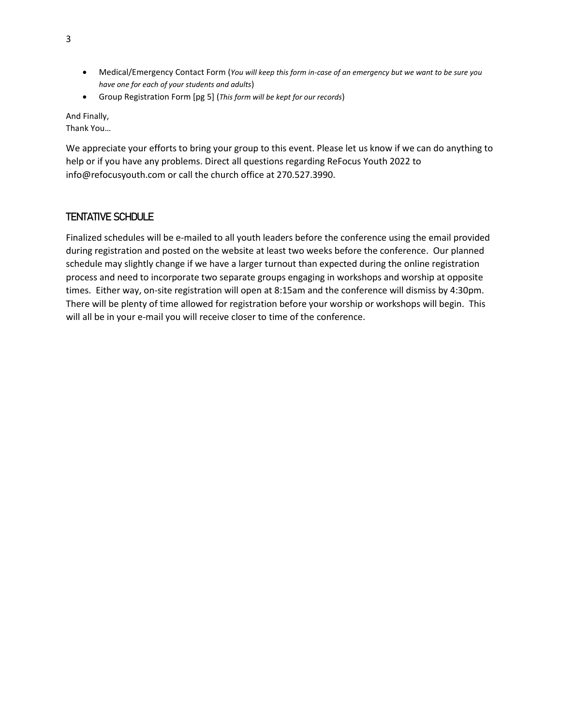- Medical/Emergency Contact Form (*You will keep this form in-case of an emergency but we want to be sure you have one for each of your students and adults*)
- Group Registration Form [pg 5] (*This form will be kept for our records*)

And Finally, Thank You…

We appreciate your efforts to bring your group to this event. Please let us know if we can do anything to help or if you have any problems. Direct all questions regarding ReFocus Youth 2022 to info@refocusyouth.com or call the church office at 270.527.3990.

### TENTATIVE SCHDULE

Finalized schedules will be e-mailed to all youth leaders before the conference using the email provided during registration and posted on the website at least two weeks before the conference. Our planned schedule may slightly change if we have a larger turnout than expected during the online registration process and need to incorporate two separate groups engaging in workshops and worship at opposite times. Either way, on-site registration will open at 8:15am and the conference will dismiss by 4:30pm. There will be plenty of time allowed for registration before your worship or workshops will begin. This will all be in your e-mail you will receive closer to time of the conference.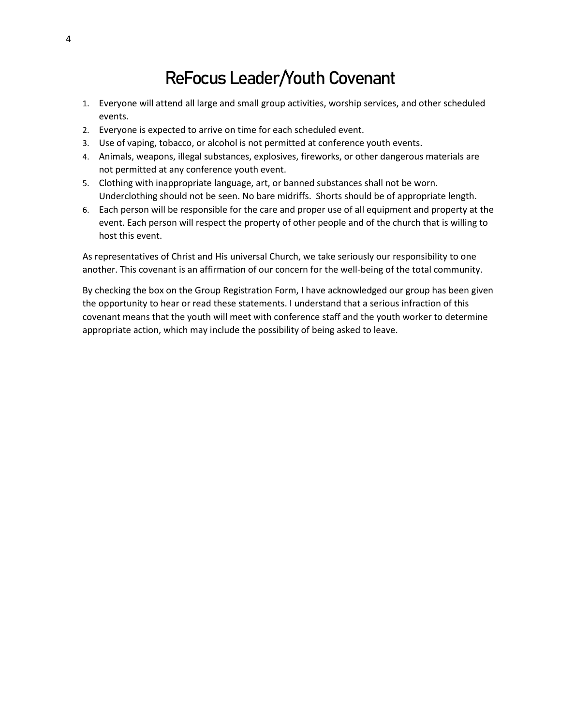### ReFocus Leader/Youth Covenant

- 1. Everyone will attend all large and small group activities, worship services, and other scheduled events.
- 2. Everyone is expected to arrive on time for each scheduled event.
- 3. Use of vaping, tobacco, or alcohol is not permitted at conference youth events.
- 4. Animals, weapons, illegal substances, explosives, fireworks, or other dangerous materials are not permitted at any conference youth event.
- 5. Clothing with inappropriate language, art, or banned substances shall not be worn. Underclothing should not be seen. No bare midriffs. Shorts should be of appropriate length.
- 6. Each person will be responsible for the care and proper use of all equipment and property at the event. Each person will respect the property of other people and of the church that is willing to host this event.

As representatives of Christ and His universal Church, we take seriously our responsibility to one another. This covenant is an affirmation of our concern for the well-being of the total community.

By checking the box on the Group Registration Form, I have acknowledged our group has been given the opportunity to hear or read these statements. I understand that a serious infraction of this covenant means that the youth will meet with conference staff and the youth worker to determine appropriate action, which may include the possibility of being asked to leave.